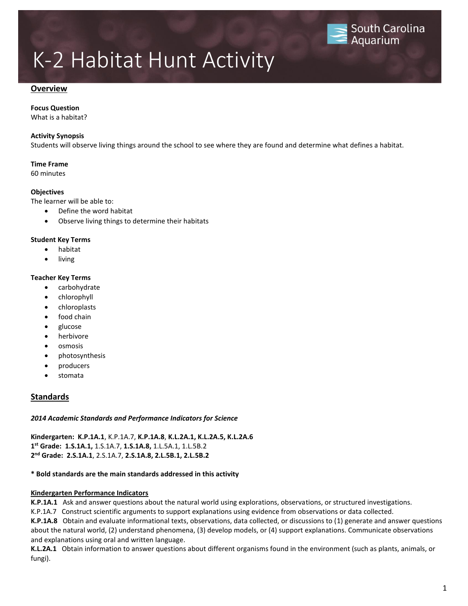### **Overview**

### **Focus Question**

What is a habitat?

### **Activity Synopsis**

Students will observe living things around the school to see where they are found and determine what defines a habitat.

### **Time Frame**

60 minutes

### **Objectives**

The learner will be able to:

- Define the word habitat
- Observe living things to determine their habitats

### **Student Key Terms**

- [habitat](javascript:Start()
- living

### **Teacher Key Terms**

- [carbohydrate](javascript:Start()
- [chlorophyll](javascript:Start()
- [chloroplasts](javascript:Start()
- [food chain](javascript:Start()
- [glucose](javascript:Start()
- [herbivore](javascript:Start()
- [osmosis](javascript:Start()
- [photosynthesis](javascript:Start()
- [producers](javascript:Start()
- [stomata](javascript:Start()

## **Standards**

### *2014 Academic Standards and Performance Indicators for Science*

**Kindergarten: K.P.1A.1**, K.P.1A.7, **K.P.1A.8**, **K.L.2A.1, K.L.2A.5, K.L.2A.6 1 st Grade: 1.S.1A.1,** 1.S.1A.7, **1.S.1A.8,** 1.L.5A.1, 1.L.5B.2 **2 nd Grade: 2.S.1A.1**, 2.S.1A.7, **2.S.1A.8, 2.L.5B.1, 2.L.5B.2**

### **\* Bold standards are the main standards addressed in this activity**

### **Kindergarten Performance Indicators**

**K.P.1A.1** Ask and answer questions about the natural world using explorations, observations, or structured investigations.

K.P.1A.7 Construct scientific arguments to support explanations using evidence from observations or data collected.

**K.P.1A.8** Obtain and evaluate informational texts, observations, data collected, or discussions to (1) generate and answer questions about the natural world, (2) understand phenomena, (3) develop models, or (4) support explanations. Communicate observations and explanations using oral and written language.

**K.L.2A.1** Obtain information to answer questions about different organisms found in the environment (such as plants, animals, or fungi).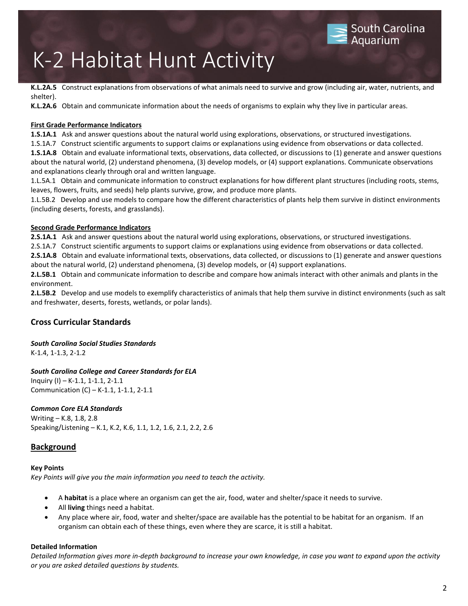**K.L.2A.5** Construct explanations from observations of what animals need to survive and grow (including air, water, nutrients, and shelter).

**South Carolina** 

Aquarium

**K.L.2A.6** Obtain and communicate information about the needs of organisms to explain why they live in particular areas.

### **First Grade Performance Indicators**

**1.S.1A.1** Ask and answer questions about the natural world using explorations, observations, or structured investigations.

1.S.1A.7 Construct scientific arguments to support claims or explanations using evidence from observations or data collected. **1.S.1A.8** Obtain and evaluate informational texts, observations, data collected, or discussions to (1) generate and answer questions about the natural world, (2) understand phenomena, (3) develop models, or (4) support explanations. Communicate observations and explanations clearly through oral and written language.

1.L.5A.1 Obtain and communicate information to construct explanations for how different plant structures (including roots, stems, leaves, flowers, fruits, and seeds) help plants survive, grow, and produce more plants.

1.L.5B.2Develop and use models to compare how the different characteristics of plants help them survive in distinct environments (including deserts, forests, and grasslands).

### **Second Grade Performance Indicators**

**2.S.1A.1** Ask and answer questions about the natural world using explorations, observations, or structured investigations.

2.S.1A.7 Construct scientific arguments to support claims or explanations using evidence from observations or data collected.

**2.S.1A.8** Obtain and evaluate informational texts, observations, data collected, or discussions to (1) generate and answer questions about the natural world, (2) understand phenomena, (3) develop models, or (4) support explanations.

**2.L.5B.1** Obtain and communicate information to describe and compare how animals interact with other animals and plants in the environment.

**2.L.5B.2** Develop and use models to exemplify characteristics of animals that help them survive in distinct environments (such as salt and freshwater, deserts, forests, wetlands, or polar lands).

## **Cross Curricular Standards**

*South Carolina Social Studies Standards* K-1.4, 1-1.3, 2-1.2

## *South Carolina College and Career Standards for ELA*

Inquiry (I) – K-1.1, 1-1.1, 2-1.1 Communication (C) – K-1.1, 1-1.1, 2-1.1

## *Common Core ELA Standards*

Writing – K.8, 1.8, 2.8 Speaking/Listening – K.1, K.2, K.6, 1.1, 1.2, 1.6, 2.1, 2.2, 2.6

## **Background**

### **Key Points**

*Key Points will give you the main information you need to teach the activity.*

- A **habitat** is a place where an organism can get the air, food, water and shelter/space it needs to survive.
- All **living** things need a habitat.
- Any place where air, food, water and shelter/space are available has the potential to be habitat for an organism. If an organism can obtain each of these things, even where they are scarce, it is still a habitat.

### **Detailed Information**

*Detailed Information gives more in-depth background to increase your own knowledge, in case you want to expand upon the activity or you are asked detailed questions by students.*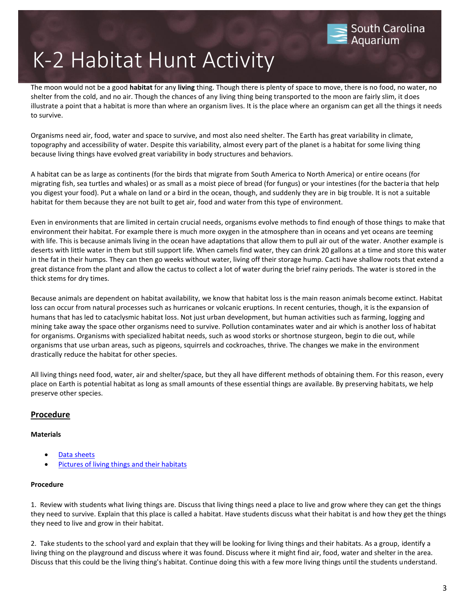The moon would not be a good **habitat** for any **living** thing. Though there is plenty of space to move, there is no food, no water, no shelter from the cold, and no air. Though the chances of any living thing being transported to the moon are fairly slim, it does illustrate a point that a habitat is more than where an organism lives. It is the place where an organism can get all the things it needs to survive.

South Carolina

Aquarium

Organisms need air, food, water and space to survive, and most also need shelter. The Earth has great variability in climate, topography and accessibility of water. Despite this variability, almost every part of the planet is a habitat for some living thing because living things have evolved great variability in body structures and behaviors.

A habitat can be as large as continents (for the birds that migrate from South America to North America) or entire oceans (for migrating fish, sea turtles and whales) or as small as a moist piece of bread (for fungus) or your intestines (for the bacteria that help you digest your food). Put a whale on land or a bird in the ocean, though, and suddenly they are in big trouble. It is not a suitable habitat for them because they are not built to get air, food and water from this type of environment.

Even in environments that are limited in certain crucial needs, organisms evolve methods to find enough of those things to make that environment their habitat. For example there is much more oxygen in the atmosphere than in oceans and yet oceans are teeming with life. This is because animals living in the ocean have adaptations that allow them to pull air out of the water. Another example is deserts with little water in them but still support life. When camels find water, they can drink 20 gallons at a time and store this water in the fat in their humps. They can then go weeks without water, living off their storage hump. Cacti have shallow roots that extend a great distance from the plant and allow the cactus to collect a lot of water during the brief rainy periods. The water is stored in the thick stems for dry times.

Because animals are dependent on habitat availability, we know that habitat loss is the main reason animals become extinct. Habitat loss can occur from natural processes such as hurricanes or volcanic eruptions. In recent centuries, though, it is the expansion of humans that has led to cataclysmic habitat loss. Not just urban development, but human activities such as farming, logging and mining take away the space other organisms need to survive. Pollution contaminates water and air which is another loss of habitat for organisms. Organisms with specialized habitat needs, such as wood storks or shortnose sturgeon, begin to die out, while organisms that use urban areas, such as pigeons, squirrels and cockroaches, thrive. The changes we make in the environment drastically reduce the habitat for other species.

All living things need food, water, air and shelter/space, but they all have different methods of obtaining them. For this reason, every place on Earth is potential habitat as long as small amounts of these essential things are available. By preserving habitats, we help preserve other species.

## **Procedure**

## **Materials**

- Data sheets
- Pictures of living things and their habitats

## **Procedure**

1. Review with students what living things are. Discuss that living things need a place to live and grow where they can get the things they need to survive. Explain that this place is called a habitat. Have students discuss what their habitat is and how they get the things they need to live and grow in their habitat.

2. Take students to the school yard and explain that they will be looking for living things and their habitats. As a group, identify a living thing on the playground and discuss where it was found. Discuss where it might find air, food, water and shelter in the area. Discuss that this could be the living thing's habitat. Continue doing this with a few more living things until the students understand.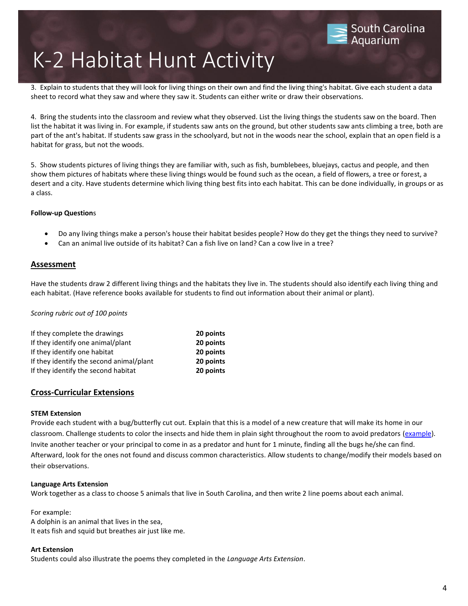3. Explain to students that they will look for living things on their own and find the living thing's habitat. Give each student a data sheet to record what they saw and where they saw it. Students can either write or draw their observations.

4. Bring the students into the classroom and review what they observed. List the living things the students saw on the board. Then list the habitat it was living in. For example, if students saw ants on the ground, but other students saw ants climbing a tree, both are part of the ant's habitat. If students saw grass in the schoolyard, but not in the woods near the school, explain that an open field is a habitat for grass, but not the woods.

5. Show students pictures of living things they are familiar with, such as fish, bumblebees, bluejays, cactus and people, and then show them pictures of habitats where these living things would be found such as the ocean, a field of flowers, a tree or forest, a desert and a city. Have students determine which living thing best fits into each habitat. This can be done individually, in groups or as a class.

### **Follow-up Question**s

- Do any living things make a person's house their habitat besides people? How do they get the things they need to survive?
- Can an animal live outside of its habitat? Can a fish live on land? Can a cow live in a tree?

## **Assessment**

Have the students draw 2 different living things and the habitats they live in. The students should also identify each living thing and each habitat. (Have reference books available for students to find out information about their animal or plant).

### *Scoring rubric out of 100 points*

| 20 points |
|-----------|
| 20 points |
| 20 points |
| 20 points |
| 20 points |
|           |

## **Cross-Curricular Extensions**

### **STEM Extension**

Provide each student with a bug/butterfly cut out. Explain that this is a model of a new creature that will make its home in our classroom. Challenge students to color the insects and hide them in plain sight throughout the room to avoid predators (example). Invite another teacher or your principal to come in as a predator and hunt for 1 minute, finding all the bugs he/she can find. Afterward, look for the ones not found and discuss common characteristics. Allow students to change/modify their models based on their observations.

### **Language Arts Extension**

Work together as a class to choose 5 animals that live in South Carolina, and then write 2 line poems about each animal.

For example: A dolphin is an animal that lives in the sea, It eats fish and squid but breathes air just like me.

### **Art Extension**

Students could also illustrate the poems they completed in the *Language Arts Extension*.

South Carolina

Aquarium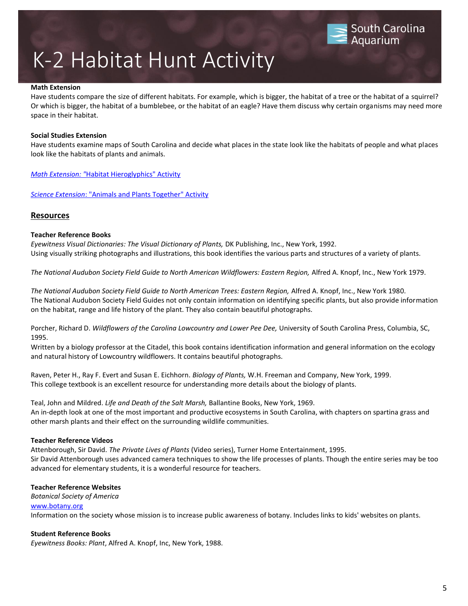#### **Math Extension**

Have students compare the size of different habitats. For example, which is bigger, the habitat of a tree or the habitat of a squirrel? Or which is bigger, the habitat of a bumblebee, or the habitat of an eagle? Have them discuss why certain organisms may need more space in their habitat.

South Carolina

Aquarium

#### **Social Studies Extension**

Have students examine maps of South Carolina and decide what places in the state look like the habitats of people and what places look like the habitats of plants and animals.

*Math Extension: "*[Habitat Hieroglyphics" Activity](javascript:Open() 

*[Science Extension](javascript:Open()*[: "Animals and Plants Together" Activity](javascript:Open()

### **Resources**

#### **Teacher Reference Books**

*Eyewitness Visual Dictionaries: The Visual Dictionary of Plants,* DK Publishing, Inc., New York, 1992. Using visually striking photographs and illustrations, this book identifies the various parts and structures of a variety of plants.

*The National Audubon Society Field Guide to North American Wildflowers: Eastern Region,* Alfred A. Knopf, Inc., New York 1979.

*The National Audubon Society Field Guide to North American Trees: Eastern Region,* Alfred A. Knopf, Inc., New York 1980. The National Audubon Society Field Guides not only contain information on identifying specific plants, but also provide information on the habitat, range and life history of the plant. They also contain beautiful photographs.

Porcher, Richard D. *Wildflowers of the Carolina Lowcountry and Lower Pee Dee,* University of South Carolina Press, Columbia, SC, 1995.

Written by a biology professor at the Citadel, this book contains identification information and general information on the ecology and natural history of Lowcountry wildflowers. It contains beautiful photographs.

Raven, Peter H., Ray F. Evert and Susan E. Eichhorn. *Biology of Plants,* W.H. Freeman and Company, New York, 1999. This college textbook is an excellent resource for understanding more details about the biology of plants.

Teal, John and Mildred. *Life and Death of the Salt Marsh,* Ballantine Books, New York, 1969. An in-depth look at one of the most important and productive ecosystems in South Carolina, with chapters on spartina grass and other marsh plants and their effect on the surrounding wildlife communities.

#### **Teacher Reference Videos**

Attenborough, Sir David. *The Private Lives of Plants* (Video series), Turner Home Entertainment, 1995. Sir David Attenborough uses advanced camera techniques to show the life processes of plants. Though the entire series may be too advanced for elementary students, it is a wonderful resource for teachers.

#### **Teacher Reference Websites**

*Botanical Society of America*

#### [www.botany.org](http://www.botany.org/)

Information on the society whose mission is to increase public awareness of botany. Includes links to kids' websites on plants.

### **Student Reference Books**

*Eyewitness Books: Plant*, Alfred A. Knopf, Inc, New York, 1988.